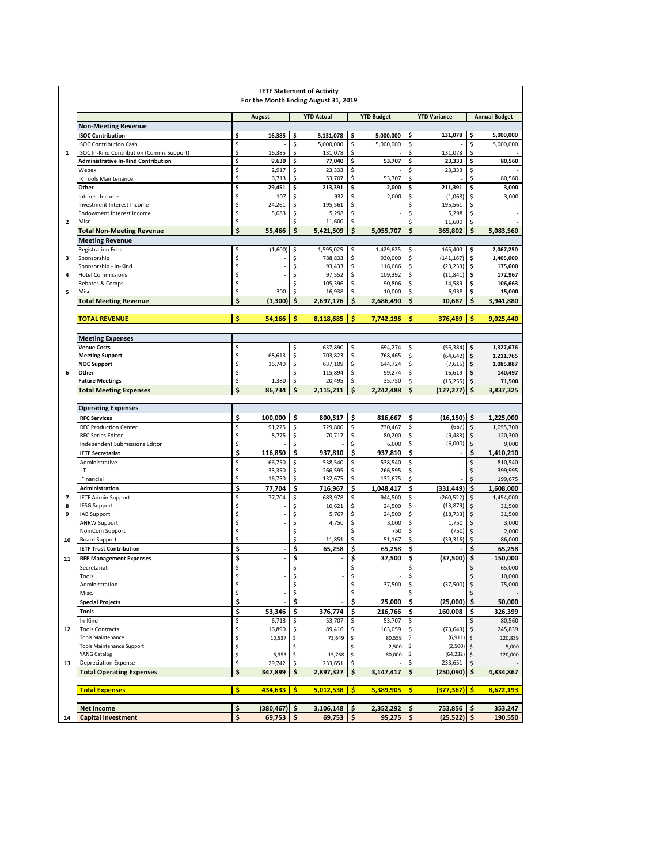|                         | <b>IETF Statement of Activity</b><br>For the Month Ending August 31, 2019        |          |                   |          |                      |                   |                      |                     |                           |                      |                        |
|-------------------------|----------------------------------------------------------------------------------|----------|-------------------|----------|----------------------|-------------------|----------------------|---------------------|---------------------------|----------------------|------------------------|
|                         |                                                                                  |          | <b>August</b>     |          | <b>YTD Actual</b>    | <b>YTD Budget</b> |                      | <b>YTD Variance</b> |                           | <b>Annual Budget</b> |                        |
|                         | <b>Non-Meeting Revenue</b>                                                       |          |                   |          |                      |                   |                      |                     |                           |                      |                        |
|                         | <b>ISOC Contribution</b>                                                         | \$       | 16,385            | Ś        | 5,131,078            | \$                | 5,000,000            | \$                  | 131,078                   | \$                   | 5,000,000              |
| $\mathbf{1}$            | <b>ISOC Contribution Cash</b><br><b>SOC In-Kind Contribution (Comms Support)</b> | \$<br>\$ | 16,385            | \$<br>\$ | 5,000,000<br>131,078 | \$<br>\$          | 5,000,000            | \$<br>\$            | 131,078                   | \$<br>\$             | 5,000,000              |
|                         | <b>Administrative In-Kind Contribution</b>                                       | \$       | 9,630             | \$       | 77,040               | \$                | 53,707               | \$                  | 23,333                    | \$                   | 80,560                 |
|                         | Webex                                                                            | \$       | 2,917             | \$       | 23,333               | \$                |                      | \$                  | 23,333                    | \$                   |                        |
|                         | <b>IK Tools Maintenance</b>                                                      | \$       | 6,713             | \$       | 53,707               | \$                | 53,707               | \$                  |                           | \$                   | 80,560                 |
|                         | Other<br>Interest Income                                                         | \$<br>\$ | 29,451<br>107     | \$<br>\$ | 213,391<br>932       | \$<br>\$          | 2,000<br>2,000       | \$<br>\$            | 211,391<br>(1,068)        | \$<br>\$             | 3,000<br>3,000         |
|                         | Investment Interest Income                                                       | \$       | 24,261            | \$       | 195,561              | \$                |                      | \$                  | 195,561                   |                      |                        |
|                         | <b>Endowment Interest Income</b>                                                 | \$       | 5,083             | \$       | 5,298                | \$                |                      | \$                  | 5,298                     | \$                   |                        |
| $\overline{\mathbf{2}}$ | Misc                                                                             | \$       |                   | Ś        | 11,600               | \$                |                      | Ś                   | 11,600                    | Ś                    |                        |
|                         | <b>Total Non-Meeting Revenue</b>                                                 | \$       | 55,466            | \$       | 5,421,509            | \$                | 5,055,707            | \$                  | 365,802                   | \$                   | 5,083,560              |
|                         | <b>Meeting Revenue</b>                                                           |          | (1,600)           |          |                      |                   |                      |                     |                           |                      |                        |
| з                       | <b>Registration Fees</b><br>Sponsorship                                          | \$<br>\$ |                   | \$<br>\$ | 1,595,025<br>788,833 | \$<br>\$          | 1,429,625<br>930,000 | \$<br>\$            | 165,400<br>(141, 167)     | \$<br>\$             | 2,067,250<br>1,405,000 |
|                         | Sponsorship - In-Kind                                                            | \$       |                   | \$       | 93,433               | \$                | 116,666              | \$                  | $(23, 233)$ \$            |                      | 175,000                |
| 4                       | <b>Hotel Commissions</b>                                                         | \$       |                   | \$       | 97,552               | \$                | 109,392              | \$                  | $(11,841)$ \$             |                      | 172,967                |
|                         | Rebates & Comps                                                                  | \$       |                   | \$       | 105,396              | \$                | 90,806               | \$                  | 14,589                    | \$                   | 106,663                |
| 5                       | Misc.<br><b>Total Meeting Revenue</b>                                            | \$<br>\$ | 300<br>(1,300)    | \$<br>\$ | 16,938<br>2,697,176  | \$<br>\$          | 10,000<br>2,686,490  | \$<br>\$            | 6,938<br>10,687           | \$<br>\$             | 15,000<br>3,941,880    |
|                         |                                                                                  |          |                   |          |                      |                   |                      |                     |                           |                      |                        |
|                         | <b>TOTAL REVENUE</b>                                                             | \$       | 54,166            | \$       | 8,118,685            | Ś                 | 7,742,196            | \$                  | 376,489                   | \$                   | 9,025,440              |
|                         | <b>Meeting Expenses</b>                                                          |          |                   |          |                      |                   |                      |                     |                           |                      |                        |
|                         | <b>Venue Costs</b>                                                               | \$       |                   | \$       | 637,890              | \$                | 694,274              | \$                  | (56, 384)                 | \$                   | 1,327,676              |
|                         | <b>Meeting Support</b><br><b>NOC Support</b>                                     | \$<br>\$ | 68,613<br>16.740  | \$<br>\$ | 703,823<br>637,109   | \$<br>\$          | 768,465<br>644,724   | \$<br>\$            | (64, 642)<br>$(7,615)$ \$ | \$                   | 1,211,765<br>1,085,887 |
| 6                       | Other                                                                            | \$       |                   | \$       | 115,894              | \$                | 99,274               | \$                  | 16,619                    | \$                   | 140,497                |
|                         | <b>Future Meetings</b>                                                           | \$       | 1,380             | \$       | 20,495               | \$                | 35,750               | \$                  | (15, 255)                 | \$                   | 71,500                 |
|                         | <b>Total Meeting Expenses</b>                                                    | \$       | 86,734            | \$       | 2,115,211            | \$                | 2,242,488            | \$                  | (127, 277)                | \$                   | 3,837,325              |
|                         | <b>Operating Expenses</b>                                                        |          |                   |          |                      |                   |                      |                     |                           |                      |                        |
|                         | <b>RFC Services</b>                                                              | \$       | 100,000           | \$       | 800,517              | \$                | 816,667              | \$                  | (16, 150)                 | \$                   | 1,225,000              |
|                         | <b>RFC Production Center</b>                                                     | \$       | 91,225            | \$       | 729,800              | \$                | 730,467              | \$                  | (667)                     | \$                   | 1,095,700              |
|                         | <b>RFC Series Editor</b>                                                         | \$       | 8,775             | \$       | 70,717               | \$                | 80,200               | \$                  | (9,483)                   | \$                   | 120,300                |
|                         | Independent Submissions Editor                                                   | \$       |                   | ¢        |                      | Ś                 | 6,000                | \$                  | (6,000)                   | \$                   | 9,000                  |
|                         | <b>IETF Secretariat</b>                                                          | \$       | 116,850           | \$       | 937,810              | \$                | 937,810              | \$                  |                           | \$                   | 1,410,210              |
|                         | Administrative<br>IT                                                             | \$<br>\$ | 66,750<br>33,350  | \$<br>\$ | 538,540<br>266,595   | \$<br>\$          | 538,540<br>266,595   | \$<br>\$            |                           | \$<br>\$             | 810,540<br>399,995     |
|                         | Financial                                                                        | \$       | 16,750            | \$       | 132,675              | \$                | 132,675              | \$                  |                           | \$                   | 199,675                |
|                         | Administration                                                                   | \$       | 77,704            | \$       | 716,967              | \$                | 1,048,417            | \$                  | (331, 449)                | \$                   | 1,608,000              |
| 7                       | <b>IETF Admin Support</b>                                                        | \$       | 77,704            | \$       | 683,978              | \$                | 944,500              | \$                  | (260, 522)                | \$                   | 1,454,000              |
| 8                       | <b>IESG Support</b>                                                              | \$       |                   | \$       | 10,621               | \$                | 24,500               | \$                  | (13, 879)                 | \$                   | 31,500                 |
| 9                       | <b>IAB Support</b><br><b>ANRW Support</b>                                        | \$       |                   | \$       | 5,767                | \$<br>\$          | 24,500<br>3,000      | \$<br>\$            | (18, 733)<br>1,750        | \$                   | 31,500                 |
|                         | NomCom Support                                                                   | \$<br>\$ |                   | \$<br>\$ | 4,750                | \$                | 750                  | \$                  | (750)                     | \$<br>\$             | 3,000<br>2,000         |
| 10                      | <b>Board Support</b>                                                             | \$       |                   | \$       | 11,851               | \$                | 51,167               |                     | (39, 316)                 | \$                   | 86,000                 |
|                         | <b>IETF Trust Contribution</b>                                                   | \$       | $\blacksquare$    | \$       | 65,258               | \$                | 65,258               | \$                  |                           | \$                   | 65,258                 |
| 11                      | <b>RFP Management Expenses</b>                                                   | \$       | $\blacksquare$    | \$       |                      | \$                | 37,500               | \$                  | (37,500)                  | \$                   | 150,000                |
|                         | Secretariat<br>Tools                                                             | \$       |                   | \$<br>\$ |                      | \$<br>\$          |                      | \$<br>\$            |                           | \$                   | 65,000<br>10,000       |
|                         | Administration                                                                   | \$<br>\$ | i,                | \$       |                      | \$                | 37,500               | \$                  | (37,500)                  | \$<br>\$             | 75,000                 |
|                         | Misc.                                                                            | \$       |                   | \$       |                      | \$                |                      |                     |                           |                      |                        |
|                         | <b>Special Projects</b>                                                          | \$       |                   | \$       |                      | \$                | 25,000               | \$                  | $(25,000)$ \$             |                      | 50,000                 |
|                         | Tools                                                                            | \$       | 53,346            | \$       | 376,774              | \$                | 216,766              | \$                  | 160,008                   | \$                   | 326,399                |
| 12                      | In-Kind<br><b>Tools Contracts</b>                                                | \$<br>\$ | 6,713<br>16,890   | \$<br>\$ | 53,707<br>89,416     | \$<br>\$          | 53,707<br>163,059    | \$<br>\$            | $(73, 643)$ \$            | \$                   | 80,560<br>245,839      |
|                         | <b>Tools Maintenance</b>                                                         | \$       | 10,537            | \$       | 73,649               | \$                | 80,559               |                     | $(6,911)$ \$              |                      | 120,839                |
|                         | <b>Tools Maintenance Support</b>                                                 | \$       |                   | \$       |                      | \$                | 2,500                | \$                  | $(2,500)$ \$              |                      | 5,000                  |
|                         | YANG Catalog                                                                     | \$       | 6,353             | \$       | 15,768               | \$                | 80,000               | \$                  | $(64, 232)$ \$            |                      | 120,000                |
| 13                      | <b>Depreciation Expense</b><br><b>Total Operating Expenses</b>                   | \$<br>\$ | 29,742<br>347,899 | \$<br>\$ | 233,651<br>2,897,327 | \$<br>\$          | 3,147,417            | \$                  | 233,651<br>(250,090)      | \$<br>\$             | 4,834,867              |
|                         |                                                                                  |          |                   |          |                      |                   |                      |                     |                           |                      |                        |
|                         | <b>Total Expenses</b>                                                            | \$       | 434,633           | \$       | 5,012,538            | -\$               | 5,389,905            | \$                  | $(377, 367)$ \$           |                      | 8,672,193              |
|                         | <b>Net Income</b>                                                                | \$       | (380,467)   \$    |          | 3,106,148            | \$                | 2,352,292            | \$                  | 753,856                   | \$                   | 353,247                |
| 14                      | <b>Capital Investment</b>                                                        | \$       | 69,753            | \$ ا     | $69,753$   \$        |                   | 95,275   \$          |                     | $(25,522)$ \$             |                      | 190,550                |